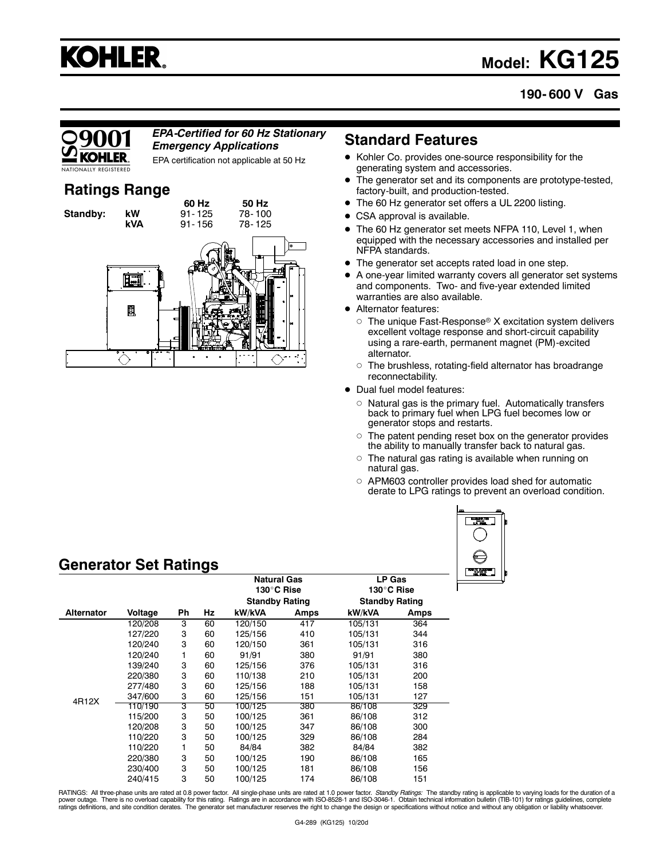# **KOHLER.**

## **Model: KG125**

## **190- 600 V Gas**

#### *EPA-Certified for 60 Hz Stationary Emergency Applications*

EPA certification not applicable at 50 Hz

## **Ratings Range**



## **Standard Features**

- Kohler Co. provides one-source responsibility for the generating system and accessories.
- $\bullet$  The generator set and its components are prototype-tested, factory-built, and production-tested.
- The 60 Hz generator set offers a UL 2200 listing.
- CSA approval is available.
- $\bullet$  The 60 Hz generator set meets NFPA 110, Level 1, when equipped with the necessary accessories and installed per NFPA standards.
- $\bullet$ The generator set accepts rated load in one step.
- A one-year limited warranty covers all generator set systems and components. Two- and five-year extended limited warranties are also available.
- Alternator features:
	- $\circ$  The unique Fast-Response® X excitation system delivers excellent voltage response and short-circuit capability using a rare-earth, permanent magnet (PM)-excited alternator.
	- The brushless, rotating-field alternator has broadrange reconnectability.
- Dual fuel model features:
	- $\circ$  Natural gas is the primary fuel. Automatically transfers back to primary fuel when LPG fuel becomes low or generator stops and restarts.
	- The patent pending reset box on the generator provides the ability to manually transfer back to natural gas.
	- The natural gas rating is available when running on natural gas.
	- APM603 controller provides load shed for automatic derate to LPG ratings to prevent an overload condition.



## **Generator Set Ratings**

|                   |         |    | <b>Natural Gas</b><br>130°C Rise |                       | LP Gas<br>130°C Rise |                       |      |
|-------------------|---------|----|----------------------------------|-----------------------|----------------------|-----------------------|------|
|                   |         |    |                                  | <b>Standby Rating</b> |                      | <b>Standby Rating</b> |      |
| <b>Alternator</b> | Voltage | Ph | Hz                               | kW/kVA                | Amps                 | kW/kVA                | Amps |
|                   | 120/208 | 3  | 60                               | 120/150               | 417                  | 105/131               | 364  |
|                   | 127/220 | 3  | 60                               | 125/156               | 410                  | 105/131               | 344  |
|                   | 120/240 | 3  | 60                               | 120/150               | 361                  | 105/131               | 316  |
|                   | 120/240 | 1  | 60                               | 91/91                 | 380                  | 91/91                 | 380  |
|                   | 139/240 | 3  | 60                               | 125/156               | 376                  | 105/131               | 316  |
|                   | 220/380 | 3  | 60                               | 110/138               | 210                  | 105/131               | 200  |
|                   | 277/480 | 3  | 60                               | 125/156               | 188                  | 105/131               | 158  |
|                   | 347/600 | 3  | 60                               | 125/156               | 151                  | 105/131               | 127  |
| 4R12X             | 110/190 | 3  | 50                               | 100/125               | 380                  | 86/108                | 329  |
|                   | 115/200 | 3  | 50                               | 100/125               | 361                  | 86/108                | 312  |
|                   | 120/208 | 3  | 50                               | 100/125               | 347                  | 86/108                | 300  |
|                   | 110/220 | 3  | 50                               | 100/125               | 329                  | 86/108                | 284  |
|                   | 110/220 | 1  | 50                               | 84/84                 | 382                  | 84/84                 | 382  |
|                   | 220/380 | 3  | 50                               | 100/125               | 190                  | 86/108                | 165  |
|                   | 230/400 | 3  | 50                               | 100/125               | 181                  | 86/108                | 156  |
|                   | 240/415 | 3  | 50                               | 100/125               | 174                  | 86/108                | 151  |

RATINGS: All three-phase units are rated at 0.8 power factor. All single-phase units are rated at 1.0 power factor. *Standby Ratings:* The standby rating is applicable to varying loads for the duration of a<br>power outage. T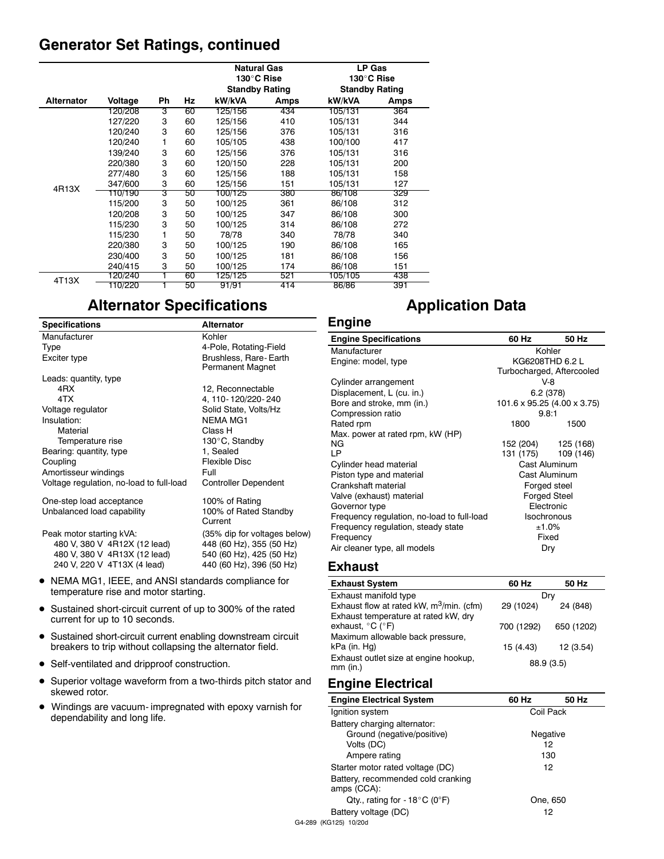## **Generator Set Ratings, continued**

|                   |         |    |    | Natural Gas<br>130°C Rise<br><b>Standby Rating</b> |      | <b>LP Gas</b><br>130°C Rise |      |
|-------------------|---------|----|----|----------------------------------------------------|------|-----------------------------|------|
|                   |         |    |    |                                                    |      | <b>Standby Rating</b>       |      |
| <b>Alternator</b> | Voltage | Ph | Hz | kW/kVA                                             | Amps | kW/kVA                      | Amps |
|                   | 120/208 | 3  | 60 | 125/156                                            | 434  | 105/131                     | 364  |
|                   | 127/220 | 3  | 60 | 125/156                                            | 410  | 105/131                     | 344  |
|                   | 120/240 | 3  | 60 | 125/156                                            | 376  | 105/131                     | 316  |
|                   | 120/240 | 1  | 60 | 105/105                                            | 438  | 100/100                     | 417  |
|                   | 139/240 | 3  | 60 | 125/156                                            | 376  | 105/131                     | 316  |
|                   | 220/380 | 3  | 60 | 120/150                                            | 228  | 105/131                     | 200  |
|                   | 277/480 | 3  | 60 | 125/156                                            | 188  | 105/131                     | 158  |
| 4R13X             | 347/600 | 3  | 60 | 125/156                                            | 151  | 105/131                     | 127  |
|                   | 110/190 | 3  | 50 | 100/125                                            | 380  | 86/108                      | 329  |
|                   | 115/200 | 3  | 50 | 100/125                                            | 361  | 86/108                      | 312  |
|                   | 120/208 | 3  | 50 | 100/125                                            | 347  | 86/108                      | 300  |
|                   | 115/230 | 3  | 50 | 100/125                                            | 314  | 86/108                      | 272  |
|                   | 115/230 |    | 50 | 78/78                                              | 340  | 78/78                       | 340  |
|                   | 220/380 | 3  | 50 | 100/125                                            | 190  | 86/108                      | 165  |
|                   | 230/400 | 3  | 50 | 100/125                                            | 181  | 86/108                      | 156  |
|                   | 240/415 | 3  | 50 | 100/125                                            | 174  | 86/108                      | 151  |
|                   | 120/240 |    | 60 | 125/125                                            | 521  | 105/105                     | 438  |
| 4T13X             | 110/220 |    | 50 | 91/91                                              | 414  | 86/86                       | 391  |

## **Alternator Specifications**

| <b>Specifications</b>                    | <b>Alternator</b>                |
|------------------------------------------|----------------------------------|
| Manufacturer                             | Kohler                           |
| Type                                     | 4-Pole, Rotating-Field           |
| Exciter type                             | Brushless, Rare-Earth            |
|                                          | Permanent Magnet                 |
| Leads: quantity, type                    |                                  |
| 4RX                                      | 12, Reconnectable                |
| 4TX                                      | 4, 110-120/220-240               |
| Voltage regulator                        | Solid State, Volts/Hz            |
| Insulation:                              | <b>NEMA MG1</b>                  |
| Material                                 | Class H                          |
| Temperature rise                         | 130°C, Standby                   |
| Bearing: quantity, type                  | 1, Sealed                        |
| Coupling                                 | Flexible Disc                    |
| Amortisseur windings                     | Full                             |
| Voltage regulation, no-load to full-load | <b>Controller Dependent</b>      |
| One-step load acceptance                 | 100% of Rating                   |
| Unbalanced load capability               | 100% of Rated Standby<br>Current |
| Peak motor starting kVA:                 | (35% dip for voltages below)     |
| 480 V, 380 V 4R12X (12 lead)             | 448 (60 Hz), 355 (50 Hz)         |
| 480 V, 380 V 4R13X (12 lead)             | 540 (60 Hz), 425 (50 Hz)         |
| 240 V, 220 V 4T13X (4 lead)              | 440 (60 Hz), 396 (50 Hz)         |

- NEMA MG1, IEEE, and ANSI standards compliance for temperature rise and motor starting.
- Sustained short-circuit current of up to 300% of the rated current for up to 10 seconds.
- Sustained short-circuit current enabling downstream circuit breakers to trip without collapsing the alternator field.
- Self-ventilated and dripproof construction.
- Superior voltage waveform from a two-thirds pitch stator and skewed rotor.
- Windings are vacuum- impregnated with epoxy varnish for dependability and long life.

## **Application Data**

## **Engine**

| <b>Engine Specifications</b>               | 60 Hz                       | 50 Hz |  |
|--------------------------------------------|-----------------------------|-------|--|
| Manufacturer                               | Kohler                      |       |  |
| Engine: model, type                        | KG6208THD 6.2 L             |       |  |
|                                            | Turbocharged, Aftercooled   |       |  |
| Cylinder arrangement                       | V-8                         |       |  |
| Displacement, L (cu. in.)                  | 6.2(378)                    |       |  |
| Bore and stroke, mm (in.)                  | 101.6 x 95.25 (4.00 x 3.75) |       |  |
| Compression ratio                          | 9.8:1                       |       |  |
| Rated rpm                                  | 1800                        | 1500  |  |
| Max. power at rated rpm, kW (HP)           |                             |       |  |
| NG.                                        | 152 (204) 125 (168)         |       |  |
| LP                                         | 131 (175) 109 (146)         |       |  |
| Cylinder head material                     | Cast Aluminum               |       |  |
| Piston type and material                   | Cast Aluminum               |       |  |
| Crankshaft material                        | Forged steel                |       |  |
| Valve (exhaust) material                   | <b>Forged Steel</b>         |       |  |
| Governor type                              | Electronic                  |       |  |
| Frequency regulation, no-load to full-load | Isochronous                 |       |  |
| Frequency regulation, steady state         | $±1.0\%$                    |       |  |
| Frequency                                  | Fixed                       |       |  |
| Air cleaner type, all models               | Dry                         |       |  |

## **Exhaust**

| <b>Exhaust System</b>                       | 60 Hz      | 50 Hz      |
|---------------------------------------------|------------|------------|
| Exhaust manifold type                       | Dry        |            |
| Exhaust flow at rated kW, $m^3/m$ in. (cfm) | 29 (1024)  | 24 (848)   |
| Exhaust temperature at rated kW, dry        |            |            |
| exhaust, $^{\circ}$ C ( $^{\circ}$ F)       | 700 (1292) | 650 (1202) |
| Maximum allowable back pressure,            |            |            |
| kPa (in. Hg)                                | 15 (4.43)  | 12 (3.54)  |
| Exhaust outlet size at engine hookup,       |            |            |
| $mm$ (in.)                                  | 88.9 (3.5) |            |

## **Engine Electrical**

| <b>Engine Electrical System</b>                            | 60 Hz     | 50 Hz |
|------------------------------------------------------------|-----------|-------|
| Ignition system                                            | Coil Pack |       |
| Battery charging alternator:<br>Ground (negative/positive) | Negative  |       |
| Volts (DC)                                                 | 12        |       |
| Ampere rating                                              | 130       |       |
| Starter motor rated voltage (DC)                           | 12        |       |
| Battery, recommended cold cranking<br>amps (CCA):          |           |       |
| Qty., rating for - $18^{\circ}$ C (0°F)                    | One, 650  |       |
| Battery voltage (DC)                                       | 12        |       |
| G4-289 (KG125) 10/20d                                      |           |       |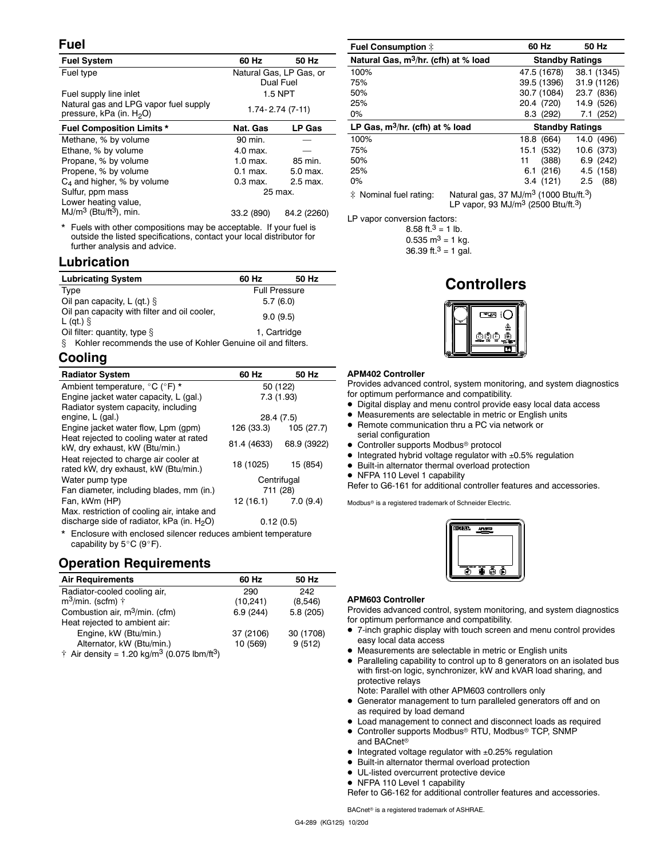#### **Fuel**

| <b>Fuel System</b>                                                            | 60 Hz                                | 50 Hz         |  |
|-------------------------------------------------------------------------------|--------------------------------------|---------------|--|
| Fuel type                                                                     | Natural Gas, LP Gas, or<br>Dual Fuel |               |  |
| Fuel supply line inlet                                                        | 1.5 NPT                              |               |  |
| Natural gas and LPG vapor fuel supply<br>pressure, kPa (in. H <sub>2</sub> O) | $1.74 - 2.74(7-11)$                  |               |  |
| <b>Fuel Composition Limits *</b>                                              | Nat. Gas                             | <b>LP Gas</b> |  |
| Methane, % by volume                                                          | 90 min.                              |               |  |
| Ethane, % by volume                                                           | 4.0 max.                             |               |  |
| Propane, % by volume                                                          | 1.0 max.                             | 85 min.       |  |
| Propene, % by volume                                                          | $0.1$ max.                           | 5.0 max.      |  |
| $C_4$ and higher, % by volume                                                 | $0.3$ max.                           | 2.5 max.      |  |
| Sulfur, ppm mass                                                              | 25 max.                              |               |  |
| Lower heating value,                                                          |                                      |               |  |
| $MJ/m3$ (Btu/ft <sup>3</sup> ), min.                                          | 33.2 (890)                           | 84.2 (2260)   |  |
|                                                                               |                                      |               |  |

Fuels with other compositions may be acceptable. If your fuel is outside the listed specifications, contact your local distributor for further analysis and advice.

## **Lubrication**

| <b>Lubricating System</b>                                          | 60 Hz                | 50 Hz |  |
|--------------------------------------------------------------------|----------------------|-------|--|
| Type                                                               | <b>Full Pressure</b> |       |  |
| Oil pan capacity, L (qt.) $\S$                                     | 5.7(6.0)             |       |  |
| Oil pan capacity with filter and oil cooler,<br>L (gt.) $\hat{S}$  | 9.0(9.5)             |       |  |
| Oil filter: quantity, type $\S$                                    | 1. Cartridge         |       |  |
| Kohler recommends the use of Kohler Genuine oil and filters.<br>8. |                      |       |  |

## **Cooling**

| <b>Radiator System</b>                                                                        | 60 Hz                   | 50 Hz                 |  |
|-----------------------------------------------------------------------------------------------|-------------------------|-----------------------|--|
| Ambient temperature, °C (°F) *                                                                | 50 (122)                |                       |  |
| Engine jacket water capacity, L (gal.)                                                        | 7.3(1.93)               |                       |  |
| Radiator system capacity, including                                                           |                         |                       |  |
| engine, L (gal.)                                                                              | 28.4 (7.5)              |                       |  |
| Engine jacket water flow, Lpm (gpm)                                                           |                         | 126 (33.3) 105 (27.7) |  |
| Heat rejected to cooling water at rated<br>kW, dry exhaust, kW (Btu/min.)                     | 81.4 (4633) 68.9 (3922) |                       |  |
| Heat rejected to charge air cooler at<br>rated kW, dry exhaust, kW (Btu/min.)                 | 18 (1025)               | 15 (854)              |  |
| Water pump type                                                                               | Centrifugal             |                       |  |
| Fan diameter, including blades, mm (in.)                                                      | 711 (28)                |                       |  |
| Fan, kWm (HP)                                                                                 | $12(16.1)$ 7.0 (9.4)    |                       |  |
| Max. restriction of cooling air, intake and<br>discharge side of radiator, $kPa$ (in. $H2O$ ) | 0.12(0.5)               |                       |  |
| * Enclosure with enclosed silencer reduces ambient temperature                                |                         |                       |  |

ed silencer reduces ambient temperature capability by  $5^{\circ}$ C (9°F).

## **Operation Requirements**

| <b>Air Requirements</b>                                                     | 60 Hz     | 50 Hz     |
|-----------------------------------------------------------------------------|-----------|-----------|
| Radiator-cooled cooling air,                                                | 290       | 242       |
| $m^3$ /min. (scfm) $\dagger$                                                | (10, 241) | (8,546)   |
| Combustion air, m <sup>3</sup> /min. (cfm)                                  | 6.9(244)  | 5.8(205)  |
| Heat rejected to ambient air:                                               |           |           |
| Engine, kW (Btu/min.)                                                       | 37 (2106) | 30 (1708) |
| Alternator, kW (Btu/min.)                                                   | 10 (569)  | 9(512)    |
| $\dagger$ Air density = 1.20 kg/m <sup>3</sup> (0.075 lbm/ft <sup>3</sup> ) |           |           |

| <b>Fuel Consumption #</b>                        |  | 60 Hz                                                          | 50 Hz       |  |
|--------------------------------------------------|--|----------------------------------------------------------------|-------------|--|
| Natural Gas, m <sup>3</sup> /hr. (cfh) at % load |  | <b>Standby Ratings</b>                                         |             |  |
| 100%                                             |  | 47.5 (1678)                                                    | 38.1 (1345) |  |
| 75%                                              |  | 39.5 (1396)                                                    | 31.9 (1126) |  |
| 50%                                              |  | 30.7 (1084)                                                    | 23.7 (836)  |  |
| 25%                                              |  | 20.4 (720)                                                     | 14.9 (526)  |  |
| $0\%$                                            |  | 8.3 (292)                                                      | 7.1(252)    |  |
| LP Gas, $m^3/hr$ . (cfh) at % load               |  | <b>Standby Ratings</b>                                         |             |  |
| 100%                                             |  | 18.8 (664)                                                     | 14.0 (496)  |  |
| 75%                                              |  | (532)<br>15.1                                                  | 10.6 (373)  |  |
| 50%                                              |  | (388)<br>11                                                    | 6.9(242)    |  |
| 25%                                              |  | (216)<br>6.1                                                   | 4.5 (158)   |  |
| $0\%$                                            |  | 3.4(121)                                                       | (88)<br>2.5 |  |
| * Nominal fuel rating:                           |  | Natural gas, 37 MJ/m <sup>3</sup> (1000 Btu/ft. <sup>3</sup> ) |             |  |

LP vapor, 93 MJ/m<sup>3</sup> (2500 Btu/ft.<sup>3</sup>)

LP vapor conversion factors:

8.58 ft. $3 = 1$  lb.  $0.535$  m<sup>3</sup> = 1 kg. 36.39 ft.<sup>3</sup> = 1 gal.

## **Controllers**



#### **APM402 Controller**

Provides advanced control, system monitoring, and system diagnostics for optimum performance and compatibility.

- Digital display and menu control provide easy local data access
- Measurements are selectable in metric or English units
- Remote communication thru a PC via network or
- serial configuration
- Controller supports Modbus<sup>®</sup> protocol
- Integrated hybrid voltage regulator with ±0.5% regulation
- Built-in alternator thermal overload protection
- NFPA 110 Level 1 capability

Refer to G6-161 for additional controller features and accessories.

Modbus<sup>®</sup> is a registered trademark of Schneider Electric.



#### **APM603 Controller**

Provides advanced control, system monitoring, and system diagnostics for optimum performance and compatibility.

- 7-inch graphic display with touch screen and menu control provides easy local data access
- $\bullet$ Measurements are selectable in metric or English units
- Paralleling capability to control up to 8 generators on an isolated bus with first-on logic, synchronizer, kW and kVAR load sharing, and protective relays

Note: Parallel with other APM603 controllers only

- Generator management to turn paralleled generators off and on as required by load demand
- $\bullet$  Load management to connect and disconnect loads as required ● Controller supports Modbus® RTU, Modbus® TCP, SNMP
- and BACnet
- Integrated voltage regulator with ±0.25% regulation
- $\bullet$  Built-in alternator thermal overload protection
- $\bullet$  UL-listed overcurrent protective device • NFPA 110 Level 1 capability
- Refer to G6-162 for additional controller features and accessories.

BACnet<sup>®</sup> is a registered trademark of ASHRAE.